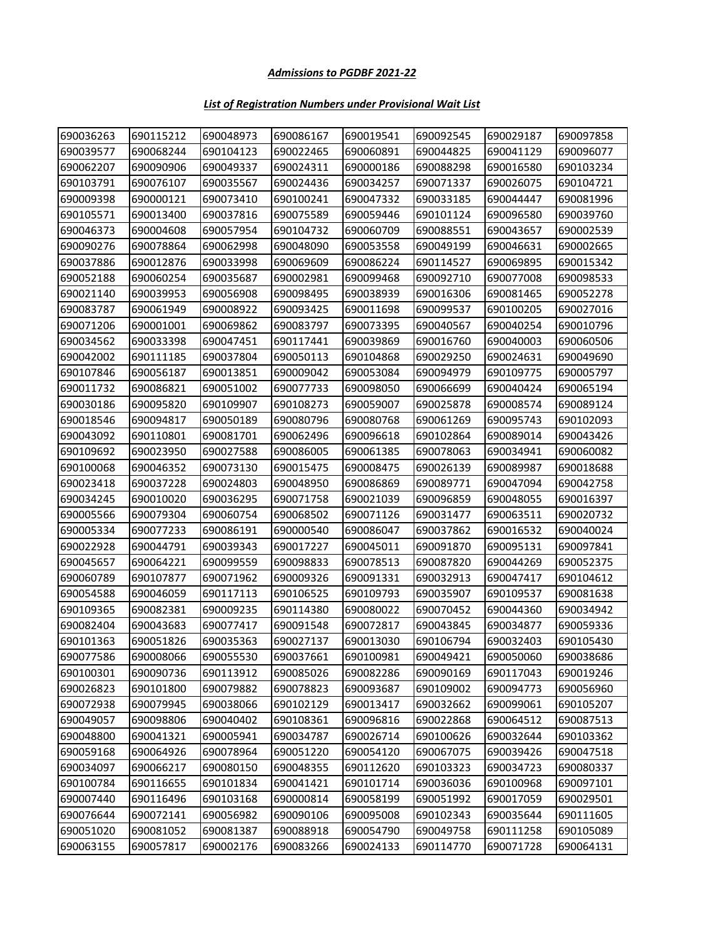## *List of Registration Numbers under Provisional Wait List*

| 690036263 | 690115212 | 690048973 | 690086167 | 690019541 | 690092545 | 690029187 | 690097858 |
|-----------|-----------|-----------|-----------|-----------|-----------|-----------|-----------|
| 690039577 | 690068244 | 690104123 | 690022465 | 690060891 | 690044825 | 690041129 | 690096077 |
| 690062207 | 690090906 | 690049337 | 690024311 | 690000186 | 690088298 | 690016580 | 690103234 |
| 690103791 | 690076107 | 690035567 | 690024436 | 690034257 | 690071337 | 690026075 | 690104721 |
| 690009398 | 690000121 | 690073410 | 690100241 | 690047332 | 690033185 | 690044447 | 690081996 |
| 690105571 | 690013400 | 690037816 | 690075589 | 690059446 | 690101124 | 690096580 | 690039760 |
| 690046373 | 690004608 | 690057954 | 690104732 | 690060709 | 690088551 | 690043657 | 690002539 |
| 690090276 | 690078864 | 690062998 | 690048090 | 690053558 | 690049199 | 690046631 | 690002665 |
| 690037886 | 690012876 | 690033998 | 690069609 | 690086224 | 690114527 | 690069895 | 690015342 |
| 690052188 | 690060254 | 690035687 | 690002981 | 690099468 | 690092710 | 690077008 | 690098533 |
| 690021140 | 690039953 | 690056908 | 690098495 | 690038939 | 690016306 | 690081465 | 690052278 |
| 690083787 | 690061949 | 690008922 | 690093425 | 690011698 | 690099537 | 690100205 | 690027016 |
| 690071206 | 690001001 | 690069862 | 690083797 | 690073395 | 690040567 | 690040254 | 690010796 |
| 690034562 | 690033398 | 690047451 | 690117441 | 690039869 | 690016760 | 690040003 | 690060506 |
| 690042002 | 690111185 | 690037804 | 690050113 | 690104868 | 690029250 | 690024631 | 690049690 |
| 690107846 | 690056187 | 690013851 | 690009042 | 690053084 | 690094979 | 690109775 | 690005797 |
| 690011732 | 690086821 | 690051002 | 690077733 | 690098050 | 690066699 | 690040424 | 690065194 |
| 690030186 | 690095820 | 690109907 | 690108273 | 690059007 | 690025878 | 690008574 | 690089124 |
| 690018546 | 690094817 | 690050189 | 690080796 | 690080768 | 690061269 | 690095743 | 690102093 |
| 690043092 | 690110801 | 690081701 | 690062496 | 690096618 | 690102864 | 690089014 | 690043426 |
| 690109692 | 690023950 | 690027588 | 690086005 | 690061385 | 690078063 | 690034941 | 690060082 |
| 690100068 | 690046352 | 690073130 | 690015475 | 690008475 | 690026139 | 690089987 | 690018688 |
| 690023418 | 690037228 | 690024803 | 690048950 | 690086869 | 690089771 | 690047094 | 690042758 |
| 690034245 | 690010020 | 690036295 | 690071758 | 690021039 | 690096859 | 690048055 | 690016397 |
| 690005566 | 690079304 | 690060754 | 690068502 | 690071126 | 690031477 | 690063511 | 690020732 |
| 690005334 | 690077233 | 690086191 | 690000540 | 690086047 | 690037862 | 690016532 | 690040024 |
| 690022928 | 690044791 | 690039343 | 690017227 | 690045011 | 690091870 | 690095131 | 690097841 |
| 690045657 | 690064221 | 690099559 | 690098833 | 690078513 | 690087820 | 690044269 | 690052375 |
| 690060789 | 690107877 | 690071962 | 690009326 | 690091331 | 690032913 | 690047417 | 690104612 |
| 690054588 | 690046059 | 690117113 | 690106525 | 690109793 | 690035907 | 690109537 | 690081638 |
| 690109365 | 690082381 | 690009235 | 690114380 | 690080022 | 690070452 | 690044360 | 690034942 |
| 690082404 | 690043683 | 690077417 | 690091548 | 690072817 | 690043845 | 690034877 | 690059336 |
| 690101363 | 690051826 | 690035363 | 690027137 | 690013030 | 690106794 | 690032403 | 690105430 |
| 690077586 | 690008066 | 690055530 | 690037661 | 690100981 | 690049421 | 690050060 | 690038686 |
| 690100301 | 690090736 | 690113912 | 690085026 | 690082286 | 690090169 | 690117043 | 690019246 |
| 690026823 | 690101800 | 690079882 | 690078823 | 690093687 | 690109002 | 690094773 | 690056960 |
| 690072938 | 690079945 | 690038066 | 690102129 | 690013417 | 690032662 | 690099061 | 690105207 |
| 690049057 | 690098806 | 690040402 | 690108361 | 690096816 | 690022868 | 690064512 | 690087513 |
| 690048800 | 690041321 | 690005941 | 690034787 | 690026714 | 690100626 | 690032644 | 690103362 |
| 690059168 | 690064926 | 690078964 | 690051220 | 690054120 | 690067075 | 690039426 | 690047518 |
| 690034097 | 690066217 | 690080150 | 690048355 | 690112620 | 690103323 | 690034723 | 690080337 |
| 690100784 | 690116655 | 690101834 | 690041421 | 690101714 | 690036036 | 690100968 | 690097101 |
| 690007440 | 690116496 | 690103168 | 690000814 | 690058199 | 690051992 | 690017059 | 690029501 |
| 690076644 | 690072141 | 690056982 | 690090106 | 690095008 | 690102343 | 690035644 | 690111605 |
| 690051020 | 690081052 | 690081387 | 690088918 | 690054790 | 690049758 | 690111258 | 690105089 |
| 690063155 | 690057817 | 690002176 | 690083266 | 690024133 | 690114770 | 690071728 | 690064131 |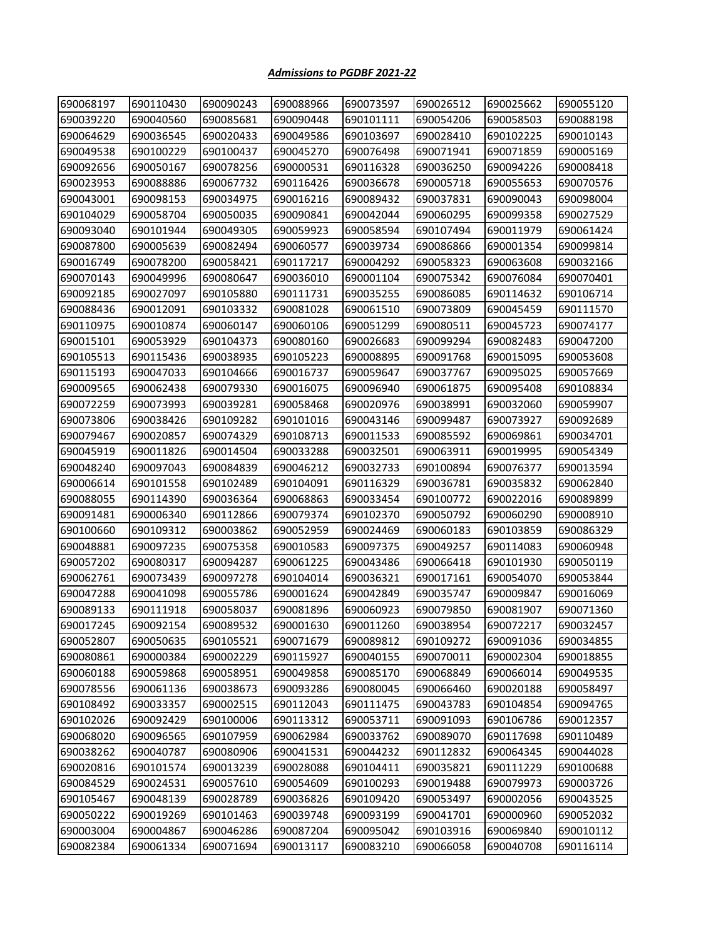| 690068197 | 690110430 | 690090243 | 690088966 | 690073597 | 690026512 | 690025662 | 690055120 |
|-----------|-----------|-----------|-----------|-----------|-----------|-----------|-----------|
| 690039220 | 690040560 | 690085681 | 690090448 | 690101111 | 690054206 | 690058503 | 690088198 |
| 690064629 | 690036545 | 690020433 | 690049586 | 690103697 | 690028410 | 690102225 | 690010143 |
| 690049538 | 690100229 | 690100437 | 690045270 | 690076498 | 690071941 | 690071859 | 690005169 |
| 690092656 | 690050167 | 690078256 | 690000531 | 690116328 | 690036250 | 690094226 | 690008418 |
| 690023953 | 690088886 | 690067732 | 690116426 | 690036678 | 690005718 | 690055653 | 690070576 |
| 690043001 | 690098153 | 690034975 | 690016216 | 690089432 | 690037831 | 690090043 | 690098004 |
| 690104029 | 690058704 | 690050035 | 690090841 | 690042044 | 690060295 | 690099358 | 690027529 |
| 690093040 | 690101944 | 690049305 | 690059923 | 690058594 | 690107494 | 690011979 | 690061424 |
| 690087800 | 690005639 | 690082494 | 690060577 | 690039734 | 690086866 | 690001354 | 690099814 |
| 690016749 | 690078200 | 690058421 | 690117217 | 690004292 | 690058323 | 690063608 | 690032166 |
| 690070143 | 690049996 | 690080647 | 690036010 | 690001104 | 690075342 | 690076084 | 690070401 |
| 690092185 | 690027097 | 690105880 | 690111731 | 690035255 | 690086085 | 690114632 | 690106714 |
| 690088436 | 690012091 | 690103332 | 690081028 | 690061510 | 690073809 | 690045459 | 690111570 |
| 690110975 | 690010874 | 690060147 | 690060106 | 690051299 | 690080511 | 690045723 | 690074177 |
| 690015101 | 690053929 | 690104373 | 690080160 | 690026683 | 690099294 | 690082483 | 690047200 |
| 690105513 | 690115436 | 690038935 | 690105223 | 690008895 | 690091768 | 690015095 | 690053608 |
| 690115193 | 690047033 | 690104666 | 690016737 | 690059647 | 690037767 | 690095025 | 690057669 |
| 690009565 | 690062438 | 690079330 | 690016075 | 690096940 | 690061875 | 690095408 | 690108834 |
| 690072259 | 690073993 | 690039281 | 690058468 | 690020976 | 690038991 | 690032060 | 690059907 |
| 690073806 | 690038426 | 690109282 | 690101016 | 690043146 | 690099487 | 690073927 | 690092689 |
| 690079467 | 690020857 | 690074329 | 690108713 | 690011533 | 690085592 | 690069861 | 690034701 |
| 690045919 | 690011826 | 690014504 | 690033288 | 690032501 | 690063911 | 690019995 | 690054349 |
| 690048240 | 690097043 | 690084839 | 690046212 | 690032733 | 690100894 | 690076377 | 690013594 |
| 690006614 | 690101558 | 690102489 | 690104091 | 690116329 | 690036781 | 690035832 | 690062840 |
| 690088055 | 690114390 | 690036364 | 690068863 | 690033454 | 690100772 | 690022016 | 690089899 |
| 690091481 | 690006340 | 690112866 | 690079374 | 690102370 | 690050792 | 690060290 | 690008910 |
| 690100660 | 690109312 | 690003862 | 690052959 | 690024469 | 690060183 | 690103859 | 690086329 |
| 690048881 | 690097235 | 690075358 | 690010583 | 690097375 | 690049257 | 690114083 | 690060948 |
| 690057202 | 690080317 | 690094287 | 690061225 | 690043486 | 690066418 | 690101930 | 690050119 |
| 690062761 | 690073439 | 690097278 | 690104014 | 690036321 | 690017161 | 690054070 | 690053844 |
| 690047288 | 690041098 | 690055786 | 690001624 | 690042849 | 690035747 | 690009847 | 690016069 |
| 690089133 | 690111918 | 690058037 | 690081896 | 690060923 | 690079850 | 690081907 | 690071360 |
| 690017245 | 690092154 | 690089532 | 690001630 | 690011260 | 690038954 | 690072217 | 690032457 |
| 690052807 | 690050635 | 690105521 | 690071679 | 690089812 | 690109272 | 690091036 | 690034855 |
| 690080861 | 690000384 | 690002229 | 690115927 | 690040155 | 690070011 | 690002304 | 690018855 |
| 690060188 | 690059868 | 690058951 | 690049858 | 690085170 | 690068849 | 690066014 | 690049535 |
| 690078556 | 690061136 | 690038673 | 690093286 | 690080045 | 690066460 | 690020188 | 690058497 |
| 690108492 | 690033357 | 690002515 | 690112043 | 690111475 | 690043783 | 690104854 | 690094765 |
| 690102026 | 690092429 | 690100006 | 690113312 | 690053711 | 690091093 | 690106786 | 690012357 |
| 690068020 | 690096565 | 690107959 | 690062984 | 690033762 | 690089070 | 690117698 | 690110489 |
| 690038262 | 690040787 | 690080906 | 690041531 | 690044232 | 690112832 | 690064345 | 690044028 |
| 690020816 | 690101574 | 690013239 | 690028088 | 690104411 | 690035821 | 690111229 | 690100688 |
| 690084529 | 690024531 | 690057610 | 690054609 | 690100293 | 690019488 | 690079973 | 690003726 |
| 690105467 | 690048139 | 690028789 | 690036826 | 690109420 | 690053497 | 690002056 | 690043525 |
| 690050222 | 690019269 | 690101463 | 690039748 | 690093199 | 690041701 | 690000960 | 690052032 |
| 690003004 | 690004867 | 690046286 | 690087204 | 690095042 | 690103916 | 690069840 | 690010112 |
| 690082384 | 690061334 | 690071694 | 690013117 | 690083210 | 690066058 | 690040708 | 690116114 |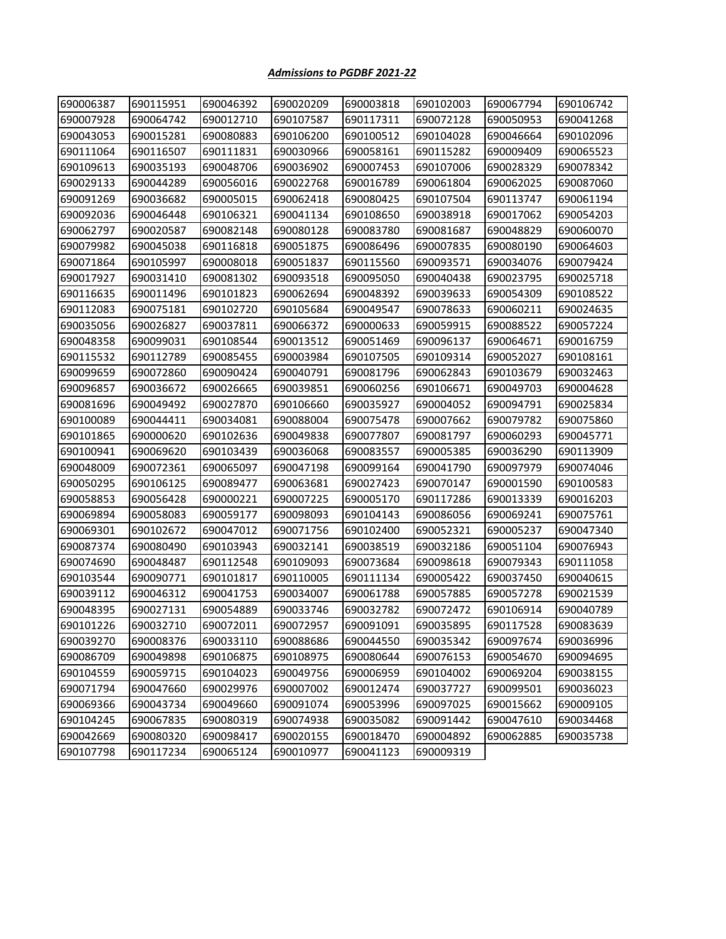| 690006387 | 690115951 | 690046392 | 690020209 | 690003818 | 690102003 | 690067794 | 690106742 |
|-----------|-----------|-----------|-----------|-----------|-----------|-----------|-----------|
| 690007928 | 690064742 | 690012710 | 690107587 | 690117311 | 690072128 | 690050953 | 690041268 |
| 690043053 | 690015281 | 690080883 | 690106200 | 690100512 | 690104028 | 690046664 | 690102096 |
| 690111064 | 690116507 | 690111831 | 690030966 | 690058161 | 690115282 | 690009409 | 690065523 |
| 690109613 | 690035193 | 690048706 | 690036902 | 690007453 | 690107006 | 690028329 | 690078342 |
| 690029133 | 690044289 | 690056016 | 690022768 | 690016789 | 690061804 | 690062025 | 690087060 |
| 690091269 | 690036682 | 690005015 | 690062418 | 690080425 | 690107504 | 690113747 | 690061194 |
| 690092036 | 690046448 | 690106321 | 690041134 | 690108650 | 690038918 | 690017062 | 690054203 |
| 690062797 | 690020587 | 690082148 | 690080128 | 690083780 | 690081687 | 690048829 | 690060070 |
| 690079982 | 690045038 | 690116818 | 690051875 | 690086496 | 690007835 | 690080190 | 690064603 |
| 690071864 | 690105997 | 690008018 | 690051837 | 690115560 | 690093571 | 690034076 | 690079424 |
| 690017927 | 690031410 | 690081302 | 690093518 | 690095050 | 690040438 | 690023795 | 690025718 |
| 690116635 | 690011496 | 690101823 | 690062694 | 690048392 | 690039633 | 690054309 | 690108522 |
| 690112083 | 690075181 | 690102720 | 690105684 | 690049547 | 690078633 | 690060211 | 690024635 |
| 690035056 | 690026827 | 690037811 | 690066372 | 690000633 | 690059915 | 690088522 | 690057224 |
| 690048358 | 690099031 | 690108544 | 690013512 | 690051469 | 690096137 | 690064671 | 690016759 |
| 690115532 | 690112789 | 690085455 | 690003984 | 690107505 | 690109314 | 690052027 | 690108161 |
| 690099659 | 690072860 | 690090424 | 690040791 | 690081796 | 690062843 | 690103679 | 690032463 |
| 690096857 | 690036672 | 690026665 | 690039851 | 690060256 | 690106671 | 690049703 | 690004628 |
| 690081696 | 690049492 | 690027870 | 690106660 | 690035927 | 690004052 | 690094791 | 690025834 |
| 690100089 | 690044411 | 690034081 | 690088004 | 690075478 | 690007662 | 690079782 | 690075860 |
| 690101865 | 690000620 | 690102636 | 690049838 | 690077807 | 690081797 | 690060293 | 690045771 |
| 690100941 | 690069620 | 690103439 | 690036068 | 690083557 | 690005385 | 690036290 | 690113909 |
| 690048009 | 690072361 | 690065097 | 690047198 | 690099164 | 690041790 | 690097979 | 690074046 |
| 690050295 | 690106125 | 690089477 | 690063681 | 690027423 | 690070147 | 690001590 | 690100583 |
| 690058853 | 690056428 | 690000221 | 690007225 | 690005170 | 690117286 | 690013339 | 690016203 |
| 690069894 | 690058083 | 690059177 | 690098093 | 690104143 | 690086056 | 690069241 | 690075761 |
| 690069301 | 690102672 | 690047012 | 690071756 | 690102400 | 690052321 | 690005237 | 690047340 |
| 690087374 | 690080490 | 690103943 | 690032141 | 690038519 | 690032186 | 690051104 | 690076943 |
| 690074690 | 690048487 | 690112548 | 690109093 | 690073684 | 690098618 | 690079343 | 690111058 |
| 690103544 | 690090771 | 690101817 | 690110005 | 690111134 | 690005422 | 690037450 | 690040615 |
| 690039112 | 690046312 | 690041753 | 690034007 | 690061788 | 690057885 | 690057278 | 690021539 |
| 690048395 | 690027131 | 690054889 | 690033746 | 690032782 | 690072472 | 690106914 | 690040789 |
| 690101226 | 690032710 | 690072011 | 690072957 | 690091091 | 690035895 | 690117528 | 690083639 |
| 690039270 | 690008376 | 690033110 | 690088686 | 690044550 | 690035342 | 690097674 | 690036996 |
| 690086709 | 690049898 | 690106875 | 690108975 | 690080644 | 690076153 | 690054670 | 690094695 |
| 690104559 | 690059715 | 690104023 | 690049756 | 690006959 | 690104002 | 690069204 | 690038155 |
| 690071794 | 690047660 | 690029976 | 690007002 | 690012474 | 690037727 | 690099501 | 690036023 |
| 690069366 | 690043734 | 690049660 | 690091074 | 690053996 | 690097025 | 690015662 | 690009105 |
| 690104245 | 690067835 | 690080319 | 690074938 | 690035082 | 690091442 | 690047610 | 690034468 |
| 690042669 | 690080320 | 690098417 | 690020155 | 690018470 | 690004892 | 690062885 | 690035738 |
| 690107798 | 690117234 | 690065124 | 690010977 | 690041123 | 690009319 |           |           |